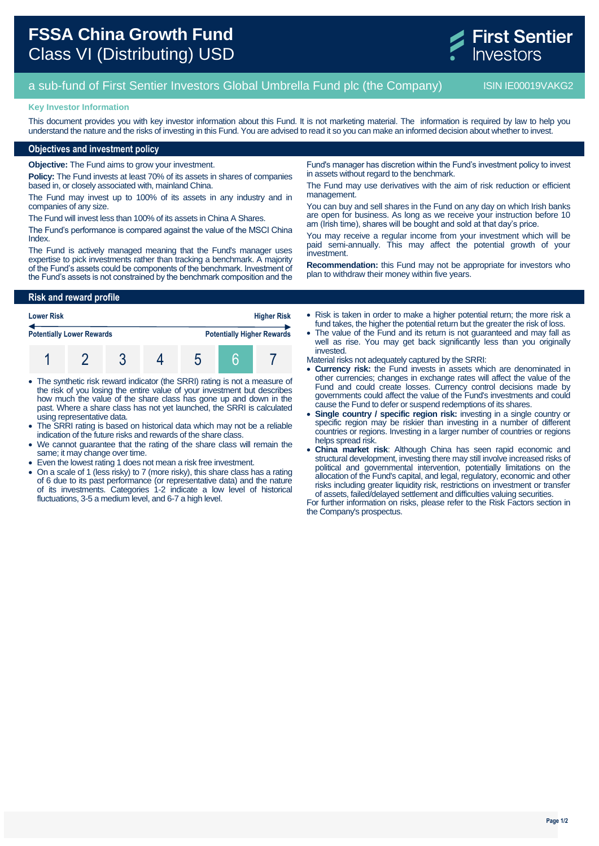

# a sub-fund of First Sentier Investors Global Umbrella Fund plc (the Company) ISIN IE00019VAKG2

### **Key Investor Information**

This document provides you with key investor information about this Fund. It is not marketing material. The information is required by law to help you understand the nature and the risks of investing in this Fund. You are advised to read it so you can make an informed decision about whether to invest.

## **Objectives and investment policy**

**Objective:** The Fund aims to grow your investment.

**Policy:** The Fund invests at least 70% of its assets in shares of companies based in, or closely associated with, mainland China.

The Fund may invest up to 100% of its assets in any industry and in companies of any size.

The Fund will invest less than 100% of its assets in China A Shares.

The Fund's performance is compared against the value of the MSCI China Index.

The Fund is actively managed meaning that the Fund's manager uses expertise to pick investments rather than tracking a benchmark. A majority of the Fund's assets could be components of the benchmark. Investment of the Fund's assets is not constrained by the benchmark composition and the

**Risk and reward profile**

| <b>Higher Risk</b><br><b>Lower Risk</b> |  |  |  |  |  |                                   |
|-----------------------------------------|--|--|--|--|--|-----------------------------------|
| <b>Potentially Lower Rewards</b>        |  |  |  |  |  | <b>Potentially Higher Rewards</b> |
|                                         |  |  |  |  |  |                                   |

- The synthetic risk reward indicator (the SRRI) rating is not a measure of the risk of you losing the entire value of your investment but describes how much the value of the share class has gone up and down in the past. Where a share class has not yet launched, the SRRI is calculated using representative data.
- The SRRI rating is based on historical data which may not be a reliable indication of the future risks and rewards of the share class.
- We cannot guarantee that the rating of the share class will remain the same; it may change over time.
- Even the lowest rating 1 does not mean a risk free investment.
- On a scale of 1 (less risky) to 7 (more risky), this share class has a rating of 6 due to its past performance (or representative data) and the nature of its investments. Categories 1-2 indicate a low level of historical fluctuations, 3-5 a medium level, and 6-7 a high level.

Fund's manager has discretion within the Fund's investment policy to invest in assets without regard to the benchmark.

The Fund may use derivatives with the aim of risk reduction or efficient management.

You can buy and sell shares in the Fund on any day on which Irish banks are open for business. As long as we receive your instruction before 10 am (Irish time), shares will be bought and sold at that day's price.

You may receive a regular income from your investment which will be paid semi-annually. This may affect the potential growth of your investment.

**Recommendation:** this Fund may not be appropriate for investors who plan to withdraw their money within five years.

 Risk is taken in order to make a higher potential return; the more risk a fund takes, the higher the potential return but the greater the risk of loss.

 The value of the Fund and its return is not guaranteed and may fall as well as rise. You may get back significantly less than you originally invested.

Material risks not adequately captured by the SRRI:

- **Currency risk:** the Fund invests in assets which are denominated in other currencies; changes in exchange rates will affect the value of the Fund and could create losses. Currency control decisions made by governments could affect the value of the Fund's investments and could cause the Fund to defer or suspend redemptions of its shares.
- **Single country / specific region risk:** investing in a single country or specific region may be riskier than investing in a number of different countries or regions. Investing in a larger number of countries or regions helps spread risk.
- **China market risk**: Although China has seen rapid economic and structural development, investing there may still involve increased risks of political and governmental intervention, potentially limitations on the allocation of the Fund's capital, and legal, regulatory, economic and other risks including greater liquidity risk, restrictions on investment or transfer of assets, failed/delayed settlement and difficulties valuing securities.

For further information on risks, please refer to the Risk Factors section in the Company's prospectus.